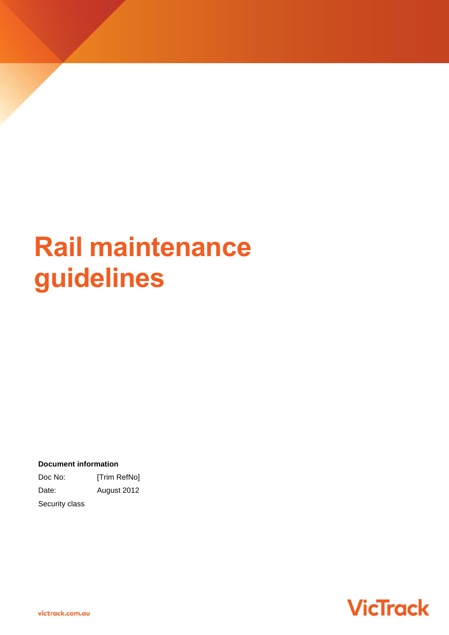# **Rail maintenance guidelines**

**Document information**

Doc No: [Trim RefNo] Date: August 2012

Security class

**VicTrack**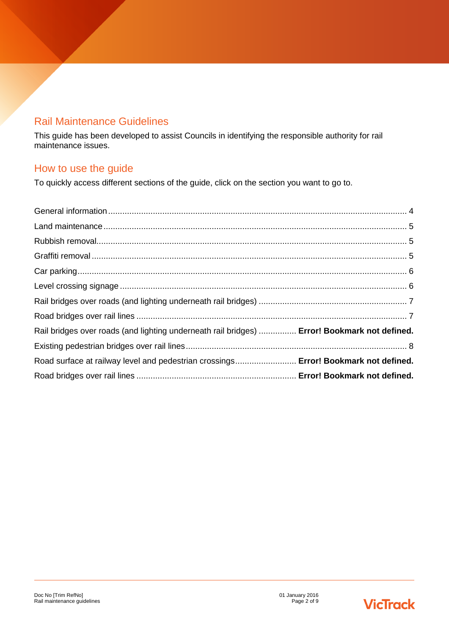## Rail Maintenance Guidelines

This guide has been developed to assist Councils in identifying the responsible authority for rail maintenance issues.

## How to use the guide

To quickly access different sections of the guide, click on the section you want to go to.

| Rail bridges over roads (and lighting underneath rail bridges)  Error! Bookmark not defined. |  |
|----------------------------------------------------------------------------------------------|--|
|                                                                                              |  |
| Road surface at railway level and pedestrian crossings Error! Bookmark not defined.          |  |
|                                                                                              |  |

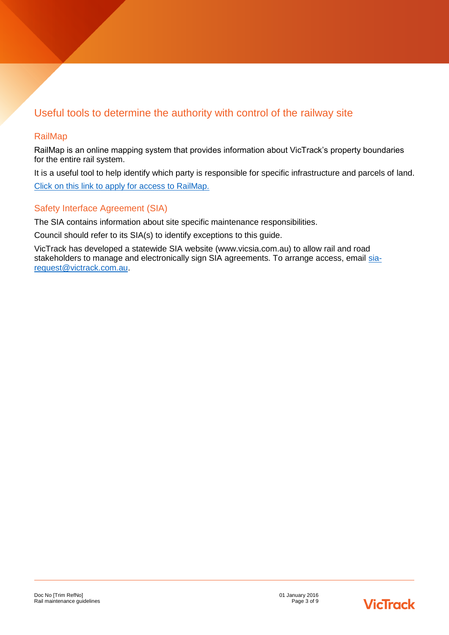# Useful tools to determine the authority with control of the railway site

#### RailMap

RailMap is an online mapping system that provides information about VicTrack's property boundaries for the entire rail system.

It is a useful tool to help identify which party is responsible for specific infrastructure and parcels of land. [Click on this link to apply for access to RailMap.](http://www.victrack.com.au/)

#### Safety Interface Agreement (SIA)

The SIA contains information about site specific maintenance responsibilities.

Council should refer to its SIA(s) to identify exceptions to this guide.

VicTrack has developed a statewide SIA website (www.vicsia.com.au) to allow rail and road stakeholders to manage and electronically sign SIA agreements. To arrange access, email [sia](mailto:sia-request@victrack.com.au)[request@victrack.com.au.](mailto:sia-request@victrack.com.au)

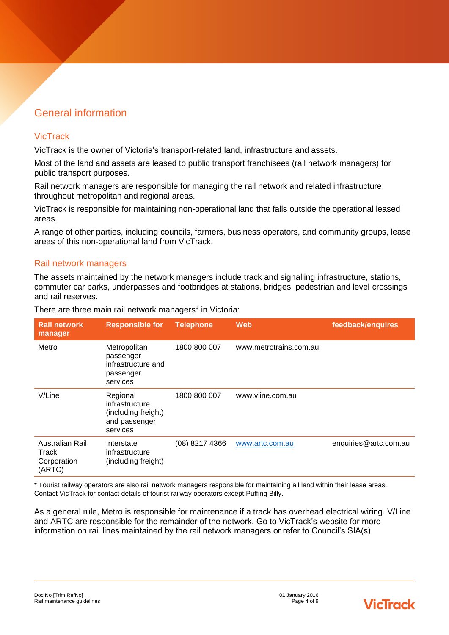# <span id="page-3-0"></span>General information

#### **VicTrack**

VicTrack is the owner of Victoria's transport-related land, infrastructure and assets.

Most of the land and assets are leased to public transport franchisees (rail network managers) for public transport purposes.

Rail network managers are responsible for managing the rail network and related infrastructure throughout metropolitan and regional areas.

VicTrack is responsible for maintaining non-operational land that falls outside the operational leased areas.

A range of other parties, including councils, farmers, business operators, and community groups, lease areas of this non-operational land from VicTrack.

#### Rail network managers

The assets maintained by the network managers include track and signalling infrastructure, stations, commuter car parks, underpasses and footbridges at stations, bridges, pedestrian and level crossings and rail reserves.

| <b>Rail network</b><br>manager                    | <b>Responsible for</b>                                                         | <b>Telephone</b> | <b>Web</b>             | feedback/enquires     |
|---------------------------------------------------|--------------------------------------------------------------------------------|------------------|------------------------|-----------------------|
| Metro                                             | Metropolitan<br>passenger<br>infrastructure and<br>passenger<br>services       | 1800 800 007     | www.metrotrains.com.au |                       |
| V/Line                                            | Regional<br>infrastructure<br>(including freight)<br>and passenger<br>services | 1800 800 007     | www.vline.com.au       |                       |
| Australian Rail<br>Track<br>Corporation<br>(ARTC) | Interstate<br>infrastructure<br>(including freight)                            | (08) 8217 4366   | www.artc.com.au        | enquiries@artc.com.au |

There are three main rail network managers\* in Victoria:

\* Tourist railway operators are also rail network managers responsible for maintaining all land within their lease areas. Contact VicTrack for contact details of tourist railway operators except Puffing Billy.

As a general rule, Metro is responsible for maintenance if a track has overhead electrical wiring. V/Line and ARTC are responsible for the remainder of the network. Go to VicTrack's website for more information on rail lines maintained by the rail network managers or refer to Council's SIA(s).

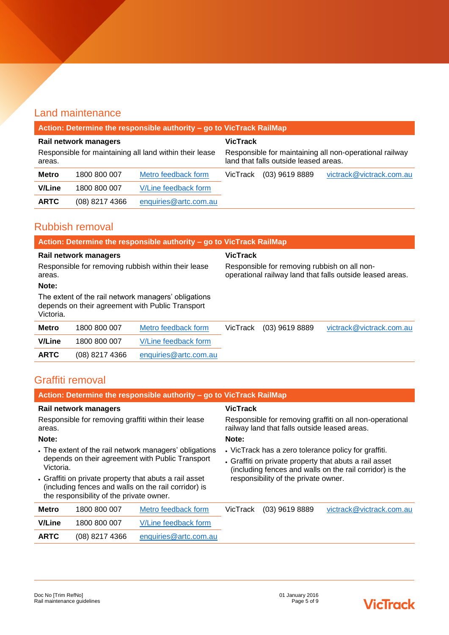# <span id="page-4-0"></span>Land maintenance

| Action: Determine the responsible authority - go to VicTrack RailMap |                  |                                                                                                  |          |                  |                          |
|----------------------------------------------------------------------|------------------|--------------------------------------------------------------------------------------------------|----------|------------------|--------------------------|
| Rail network managers                                                |                  | <b>VicTrack</b>                                                                                  |          |                  |                          |
| Responsible for maintaining all land within their lease<br>areas.    |                  | Responsible for maintaining all non-operational railway<br>land that falls outside leased areas. |          |                  |                          |
| <b>Metro</b>                                                         | 1800 800 007     | Metro feedback form                                                                              | VicTrack | $(03)$ 9619 8889 | victrack@victrack.com.au |
| <b>V/Line</b>                                                        | 1800 800 007     | V/Line feedback form                                                                             |          |                  |                          |
| <b>ARTC</b>                                                          | $(08)$ 8217 4366 | enquiries@artc.com.au                                                                            |          |                  |                          |

### <span id="page-4-1"></span>Rubbish removal

| Action: Determine the responsible authority - go to VicTrack RailMap                                                  |                |                                                                                                           |          |                  |                          |
|-----------------------------------------------------------------------------------------------------------------------|----------------|-----------------------------------------------------------------------------------------------------------|----------|------------------|--------------------------|
| Rail network managers                                                                                                 |                | <b>VicTrack</b>                                                                                           |          |                  |                          |
| Responsible for removing rubbish within their lease<br>areas.                                                         |                | Responsible for removing rubbish on all non-<br>operational railway land that falls outside leased areas. |          |                  |                          |
| Note:                                                                                                                 |                |                                                                                                           |          |                  |                          |
| The extent of the rail network managers' obligations<br>depends on their agreement with Public Transport<br>Victoria. |                |                                                                                                           |          |                  |                          |
| <b>Metro</b>                                                                                                          | 1800 800 007   | Metro feedback form                                                                                       | VicTrack | $(03)$ 9619 8889 | victrack@victrack.com.au |
| <b>V/Line</b>                                                                                                         | 1800 800 007   | V/Line feedback form                                                                                      |          |                  |                          |
| <b>ARTC</b>                                                                                                           | (08) 8217 4366 | enquiries@artc.com.au                                                                                     |          |                  |                          |

# <span id="page-4-2"></span>Graffiti removal

<span id="page-4-3"></span>

|                                                                                                                                                                                                                                                                                     | Action: Determine the responsible authority - go to VicTrack RailMap |                                                                                                                                                                                                                    |                 |                  |                          |
|-------------------------------------------------------------------------------------------------------------------------------------------------------------------------------------------------------------------------------------------------------------------------------------|----------------------------------------------------------------------|--------------------------------------------------------------------------------------------------------------------------------------------------------------------------------------------------------------------|-----------------|------------------|--------------------------|
| Rail network managers                                                                                                                                                                                                                                                               |                                                                      |                                                                                                                                                                                                                    | <b>VicTrack</b> |                  |                          |
| Responsible for removing graffiti within their lease<br>areas.                                                                                                                                                                                                                      |                                                                      | Responsible for removing graffiti on all non-operational<br>railway land that falls outside leased areas.                                                                                                          |                 |                  |                          |
| Note:                                                                                                                                                                                                                                                                               |                                                                      | Note:                                                                                                                                                                                                              |                 |                  |                          |
| The extent of the rail network managers' obligations<br>depends on their agreement with Public Transport<br>Victoria.<br>• Graffiti on private property that abuts a rail asset<br>(including fences and walls on the rail corridor) is<br>the responsibility of the private owner. |                                                                      | • VicTrack has a zero tolerance policy for graffiti.<br>• Graffiti on private property that abuts a rail asset<br>(including fences and walls on the rail corridor) is the<br>responsibility of the private owner. |                 |                  |                          |
| <b>Metro</b>                                                                                                                                                                                                                                                                        | 1800 800 007                                                         | Metro feedback form                                                                                                                                                                                                | VicTrack        | $(03)$ 9619 8889 | victrack@victrack.com.au |
| <b>V/Line</b>                                                                                                                                                                                                                                                                       | 1800 800 007                                                         | V/Line feedback form                                                                                                                                                                                               |                 |                  |                          |
| <b>ARTC</b>                                                                                                                                                                                                                                                                         | (08) 8217 4366                                                       | enquiries@artc.com.au                                                                                                                                                                                              |                 |                  |                          |

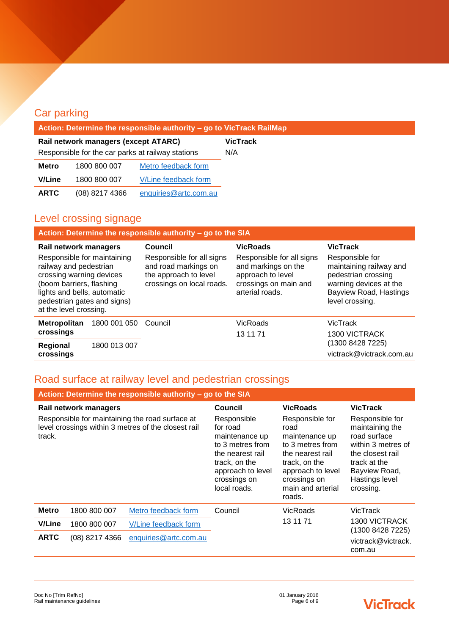| Action: Determine the responsible authority - go to VicTrack RailMap |                  |                       |                 |
|----------------------------------------------------------------------|------------------|-----------------------|-----------------|
| Rail network managers (except ATARC)                                 |                  |                       | <b>VicTrack</b> |
| Responsible for the car parks at railway stations                    |                  |                       | N/A             |
| <b>Metro</b>                                                         | 1800 800 007     | Metro feedback form   |                 |
| <b>V/Line</b>                                                        | 1800 800 007     | V/Line feedback form  |                 |
| <b>ARTC</b>                                                          | $(08)$ 8217 4366 | enquiries@artc.com.au |                 |

# <span id="page-5-0"></span>Level crossing signage

Car parking

|                                                                                                                                                                                                       | Action: Determine the responsible authority - go to the SIA |                                                                                                         |                                                                                                                   |                                                                                                                                          |
|-------------------------------------------------------------------------------------------------------------------------------------------------------------------------------------------------------|-------------------------------------------------------------|---------------------------------------------------------------------------------------------------------|-------------------------------------------------------------------------------------------------------------------|------------------------------------------------------------------------------------------------------------------------------------------|
| Rail network managers                                                                                                                                                                                 |                                                             | Council                                                                                                 | <b>VicRoads</b>                                                                                                   | <b>VicTrack</b>                                                                                                                          |
| Responsible for maintaining<br>railway and pedestrian<br>crossing warning devices<br>(boom barriers, flashing<br>lights and bells, automatic<br>pedestrian gates and signs)<br>at the level crossing. |                                                             | Responsible for all signs<br>and road markings on<br>the approach to level<br>crossings on local roads. | Responsible for all signs<br>and markings on the<br>approach to level<br>crossings on main and<br>arterial roads. | Responsible for<br>maintaining railway and<br>pedestrian crossing<br>warning devices at the<br>Bayview Road, Hastings<br>level crossing. |
| Metropolitan<br>crossings                                                                                                                                                                             | 1800 001 050                                                | Council                                                                                                 | VicRoads<br>13 11 71                                                                                              | <b>VicTrack</b><br><b>1300 VICTRACK</b>                                                                                                  |
| Regional<br>crossings                                                                                                                                                                                 | 1800 013 007                                                |                                                                                                         |                                                                                                                   | (1300 8428 7225)<br>victrack@victrack.com.au                                                                                             |

# Road surface at railway level and pedestrian crossings

| Action: Determine the responsible authority - go to the SIA |                |                                                                                                        |                                                                                                                                                         |                                                                                                                                                                        |                                                                                                                                                              |
|-------------------------------------------------------------|----------------|--------------------------------------------------------------------------------------------------------|---------------------------------------------------------------------------------------------------------------------------------------------------------|------------------------------------------------------------------------------------------------------------------------------------------------------------------------|--------------------------------------------------------------------------------------------------------------------------------------------------------------|
| Rail network managers                                       |                |                                                                                                        | Council                                                                                                                                                 | <b>VicRoads</b>                                                                                                                                                        | <b>VicTrack</b>                                                                                                                                              |
| track.                                                      |                | Responsible for maintaining the road surface at<br>level crossings within 3 metres of the closest rail | Responsible<br>for road<br>maintenance up<br>to 3 metres from<br>the nearest rail<br>track, on the<br>approach to level<br>crossings on<br>local roads. | Responsible for<br>road<br>maintenance up<br>to 3 metres from<br>the nearest rail<br>track, on the<br>approach to level<br>crossings on<br>main and arterial<br>roads. | Responsible for<br>maintaining the<br>road surface<br>within 3 metres of<br>the closest rail<br>track at the<br>Bayview Road,<br>Hastings level<br>crossing. |
| <b>Metro</b>                                                | 1800 800 007   | Metro feedback form                                                                                    | Council                                                                                                                                                 | VicRoads                                                                                                                                                               | VicTrack                                                                                                                                                     |
| <b>V/Line</b>                                               | 1800 800 007   | V/Line feedback form                                                                                   |                                                                                                                                                         | 13 11 71                                                                                                                                                               | <b>1300 VICTRACK</b><br>(1300 8428 7225)                                                                                                                     |
| <b>ARTC</b>                                                 | (08) 8217 4366 | enquiries@artc.com.au                                                                                  |                                                                                                                                                         |                                                                                                                                                                        | victrack@victrack.<br>com.au                                                                                                                                 |

# **VicTrack**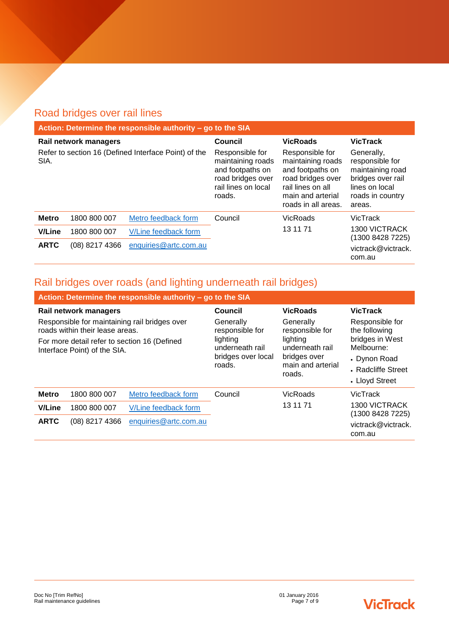# <span id="page-6-0"></span>Road bridges over rail lines

|                                                              | Action: Determine the responsible authority - go to the SIA |                                                                                                                |                                                                                                                                                |                                                                                                                        |                                          |
|--------------------------------------------------------------|-------------------------------------------------------------|----------------------------------------------------------------------------------------------------------------|------------------------------------------------------------------------------------------------------------------------------------------------|------------------------------------------------------------------------------------------------------------------------|------------------------------------------|
| Rail network managers                                        |                                                             | Council                                                                                                        | <b>VicRoads</b>                                                                                                                                | <b>VicTrack</b>                                                                                                        |                                          |
| Refer to section 16 (Defined Interface Point) of the<br>SIA. |                                                             | Responsible for<br>maintaining roads<br>and footpaths on<br>road bridges over<br>rail lines on local<br>roads. | Responsible for<br>maintaining roads<br>and footpaths on<br>road bridges over<br>rail lines on all<br>main and arterial<br>roads in all areas. | Generally,<br>responsible for<br>maintaining road<br>bridges over rail<br>lines on local<br>roads in country<br>areas. |                                          |
| <b>Metro</b>                                                 | 1800 800 007                                                | Metro feedback form                                                                                            | Council                                                                                                                                        | VicRoads                                                                                                               | VicTrack                                 |
| <b>V/Line</b>                                                | 1800 800 007                                                | V/Line feedback form                                                                                           |                                                                                                                                                | 13 11 71                                                                                                               | <b>1300 VICTRACK</b><br>(1300 8428 7225) |
| <b>ARTC</b>                                                  | (08) 8217 4366                                              | enquiries@artc.com.au                                                                                          |                                                                                                                                                |                                                                                                                        | victrack@victrack.<br>com.au             |

# Rail bridges over roads (and lighting underneath rail bridges)

<span id="page-6-1"></span>

|                                                                                  | Action: Determine the responsible authority - go to the SIA |                                                             |                                                                            |                                                                                       |                                   |
|----------------------------------------------------------------------------------|-------------------------------------------------------------|-------------------------------------------------------------|----------------------------------------------------------------------------|---------------------------------------------------------------------------------------|-----------------------------------|
| Rail network managers                                                            |                                                             | Council                                                     | <b>VicRoads</b>                                                            | <b>VicTrack</b>                                                                       |                                   |
| Responsible for maintaining rail bridges over<br>roads within their lease areas. |                                                             | Generally<br>responsible for                                | Generally<br>responsible for                                               | Responsible for<br>the following                                                      |                                   |
| For more detail refer to section 16 (Defined<br>Interface Point) of the SIA.     |                                                             | lighting<br>underneath rail<br>bridges over local<br>roads. | lighting<br>underneath rail<br>bridges over<br>main and arterial<br>roads. | bridges in West<br>Melbourne:<br>• Dynon Road<br>• Radcliffe Street<br>• Lloyd Street |                                   |
| <b>Metro</b>                                                                     | 1800 800 007                                                | Metro feedback form                                         | Council                                                                    | <b>VicRoads</b>                                                                       | <b>VicTrack</b>                   |
| <b>V/Line</b>                                                                    | 1800 800 007                                                | V/Line feedback form                                        |                                                                            | 13 11 71                                                                              | 1300 VICTRACK<br>(1300 8428 7225) |
| <b>ARTC</b>                                                                      | (08) 8217 4366                                              | enquiries@artc.com.au                                       |                                                                            |                                                                                       | victrack@victrack.<br>com.au      |

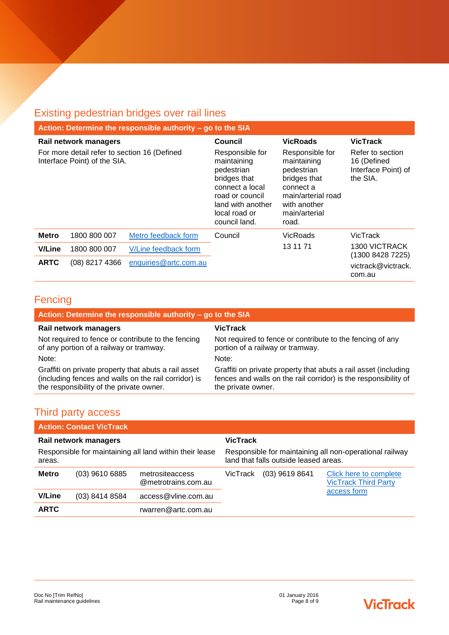# Existing pedestrian bridges over rail lines

| Action: Determine the responsible authority - go to the SIA                  |                  |                                                                                                                                                           |                                                                                                                                           |                                                                    |                                          |
|------------------------------------------------------------------------------|------------------|-----------------------------------------------------------------------------------------------------------------------------------------------------------|-------------------------------------------------------------------------------------------------------------------------------------------|--------------------------------------------------------------------|------------------------------------------|
| Rail network managers                                                        |                  | Council                                                                                                                                                   | <b>VicRoads</b>                                                                                                                           | <b>VicTrack</b>                                                    |                                          |
| For more detail refer to section 16 (Defined<br>Interface Point) of the SIA. |                  | Responsible for<br>maintaining<br>pedestrian<br>bridges that<br>connect a local<br>road or council<br>land with another<br>local road or<br>council land. | Responsible for<br>maintaining<br>pedestrian<br>bridges that<br>connect a<br>main/arterial road<br>with another<br>main/arterial<br>road. | Refer to section<br>16 (Defined<br>Interface Point) of<br>the SIA. |                                          |
| <b>Metro</b>                                                                 | 1800 800 007     | Metro feedback form                                                                                                                                       | Council                                                                                                                                   | VicRoads                                                           | VicTrack                                 |
| <b>V/Line</b>                                                                | 1800 800 007     | V/Line feedback form                                                                                                                                      |                                                                                                                                           | 13 11 71                                                           | <b>1300 VICTRACK</b><br>(1300 8428 7225) |
| <b>ARTC</b>                                                                  | $(08)$ 8217 4366 | enquiries@artc.com.au                                                                                                                                     |                                                                                                                                           |                                                                    | victrack@victrack.<br>com.au             |

## **Fencing**

| Action: Determine the responsible authority - go to the SIA                                                                                              |                                                                                                                                                          |  |
|----------------------------------------------------------------------------------------------------------------------------------------------------------|----------------------------------------------------------------------------------------------------------------------------------------------------------|--|
| Rail network managers                                                                                                                                    | VicTrack                                                                                                                                                 |  |
| Not required to fence or contribute to the fencing<br>of any portion of a railway or tramway.                                                            | Not required to fence or contribute to the fencing of any<br>portion of a railway or tramway.                                                            |  |
| Note:                                                                                                                                                    | Note:                                                                                                                                                    |  |
| Graffiti on private property that abuts a rail asset<br>(including fences and walls on the rail corridor) is<br>the responsibility of the private owner. | Graffiti on private property that abuts a rail asset (including<br>fences and walls on the rail corridor) is the responsibility of<br>the private owner. |  |

# Third party access

| <b>Action: Contact VicTrack</b>                                   |                  |                                        |                                                                                                  |                  |                                                       |
|-------------------------------------------------------------------|------------------|----------------------------------------|--------------------------------------------------------------------------------------------------|------------------|-------------------------------------------------------|
| Rail network managers                                             |                  |                                        | <b>VicTrack</b>                                                                                  |                  |                                                       |
| Responsible for maintaining all land within their lease<br>areas. |                  |                                        | Responsible for maintaining all non-operational railway<br>land that falls outside leased areas. |                  |                                                       |
| <b>Metro</b>                                                      | $(03)$ 9610 6885 | metrositeaccess<br>@metrotrains.com.au | VicTrack                                                                                         | $(03)$ 9619 8641 | Click here to complete<br><b>VicTrack Third Party</b> |
| <b>V/Line</b>                                                     | (03) 8414 8584   | access@vline.com.au                    |                                                                                                  |                  | access form                                           |
| <b>ARTC</b>                                                       |                  | rwarren@artc.com.au                    |                                                                                                  |                  |                                                       |